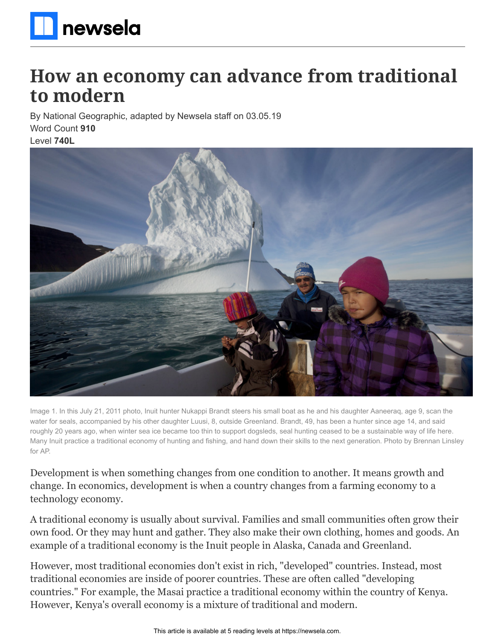

# **How an economy can advance from traditional to modern**

By National Geographic, adapted by Newsela staff on 03.05.19 Word Count **910**

Level **740L**



Image 1. In this July 21, 2011 photo, Inuit hunter Nukappi Brandt steers his small boat as he and his daughter Aaneeraq, age 9, scan the water for seals, accompanied by his other daughter Luusi, 8, outside Greenland. Brandt, 49, has been a hunter since age 14, and said roughly 20 years ago, when winter sea ice became too thin to support dogsleds, seal hunting ceased to be a sustainable way of life here. Many Inuit practice a traditional economy of hunting and fishing, and hand down their skills to the next generation. Photo by Brennan Linsley for AP.

Development is when something changes from one condition to another. It means growth and change. In economics, development is when a country changes from a farming economy to a technology economy.

A traditional economy is usually about survival. Families and small communities often grow their own food. Or they may hunt and gather. They also make their own clothing, homes and goods. An example of a traditional economy is the Inuit people in Alaska, Canada and Greenland.

However, most traditional economies don't exist in rich, "developed" countries. Instead, most traditional economies are inside of poorer countries. These are often called "developing countries." For example, the Masai practice a traditional economy within the country of Kenya. However, Kenya's overall economy is a mixture of traditional and modern.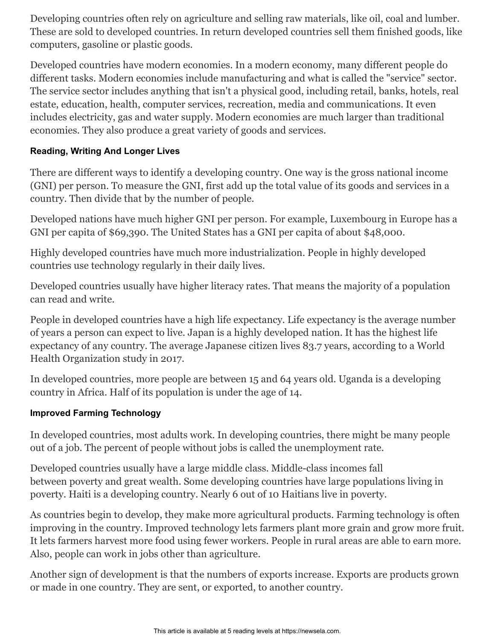Developing countries often rely on agriculture and selling raw materials, like oil, coal and lumber. These are sold to developed countries. In return developed countries sell them finished goods, like computers, gasoline or plastic goods.

Developed countries have modern economies. In a modern economy, many different people do different tasks. Modern economies include manufacturing and what is called the "service" sector. The service sector includes anything that isn't a physical good, including retail, banks, hotels, real estate, education, health, computer services, recreation, media and communications. It even includes electricity, gas and water supply. Modern economies are much larger than traditional economies. They also produce a great variety of goods and services.

#### **Reading, Writing And Longer Lives**

There are different ways to identify a developing country. One way is the gross national income (GNI) per person. To measure the GNI, first add up the total value of its goods and services in a country. Then divide that by the number of people.

Developed nations have much higher GNI per person. For example, Luxembourg in Europe has a GNI per capita of \$69,390. The United States has a GNI per capita of about \$48,000.

Highly developed countries have much more industrialization. People in highly developed countries use technology regularly in their daily lives.

Developed countries usually have higher literacy rates. That means the majority of a population can read and write.

People in developed countries have a high life expectancy. Life expectancy is the average number of years a person can expect to live. Japan is a highly developed nation. It has the highest life expectancy of any country. The average Japanese citizen lives 83.7 years, according to a World Health Organization study in 2017.

In developed countries, more people are between 15 and 64 years old. Uganda is a developing country in Africa. Half of its population is under the age of 14.

## **Improved Farming Technology**

In developed countries, most adults work. In developing countries, there might be many people out of a job. The percent of people without jobs is called the unemployment rate.

Developed countries usually have a large middle class. Middle-class incomes fall between poverty and great wealth. Some developing countries have large populations living in poverty. Haiti is a developing country. Nearly 6 out of 10 Haitians live in poverty.

As countries begin to develop, they make more agricultural products. Farming technology is often improving in the country. Improved technology lets farmers plant more grain and grow more fruit. It lets farmers harvest more food using fewer workers. People in rural areas are able to earn more. Also, people can work in jobs other than agriculture.

Another sign of development is that the numbers of exports increase. Exports are products grown or made in one country. They are sent, or exported, to another country.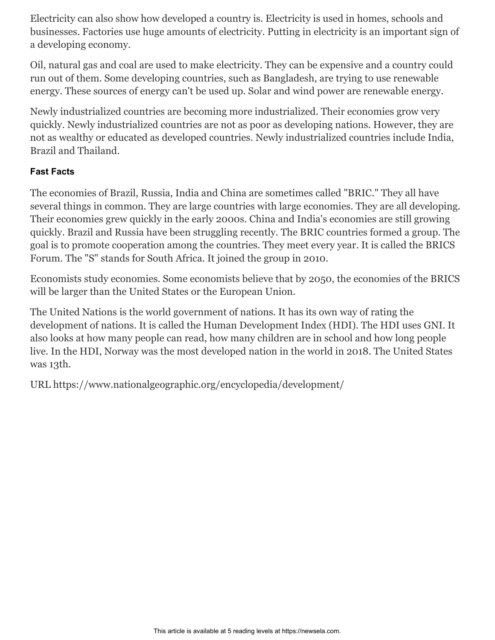Electricity can also show how developed a country is. Electricity is used in homes, schools and businesses. Factories use huge amounts of electricity. Putting in electricity is an important sign of a developing economy.

Oil, natural gas and coal are used to make electricity. They can be expensive and a country could run out of them. Some developing countries, such as Bangladesh, are trying to use renewable energy. These sources of energy can't be used up. Solar and wind power are renewable energy.

Newly industrialized countries are becoming more industrialized. Their economies grow very quickly. Newly industrialized countries are not as poor as developing nations. However, they are not as wealthy or educated as developed countries. Newly industrialized countries include India, Brazil and Thailand.

## **Fast Facts**

The economies of Brazil, Russia, India and China are sometimes called "BRIC." They all have several things in common. They are large countries with large economies. They are all developing. Their economies grew quickly in the early 2000s. China and India's economies are still growing quickly. Brazil and Russia have been struggling recently. The BRIC countries formed a group. The goal is to promote cooperation among the countries. They meet every year. It is called the BRICS Forum. The "S" stands for South Africa. It joined the group in 2010.

Economists study economies. Some economists believe that by 2050, the economies of the BRICS will be larger than the United States or the European Union.

The United Nations is the world government of nations. It has its own way of rating the development of nations. It is called the Human Development Index (HDI). The HDI uses GNI. It also looks at how many people can read, how many children are in school and how long people live. In the HDI, Norway was the most developed nation in the world in 2018. The United States was 13th.

URL https://www.nationalgeographic.org/encyclopedia/development/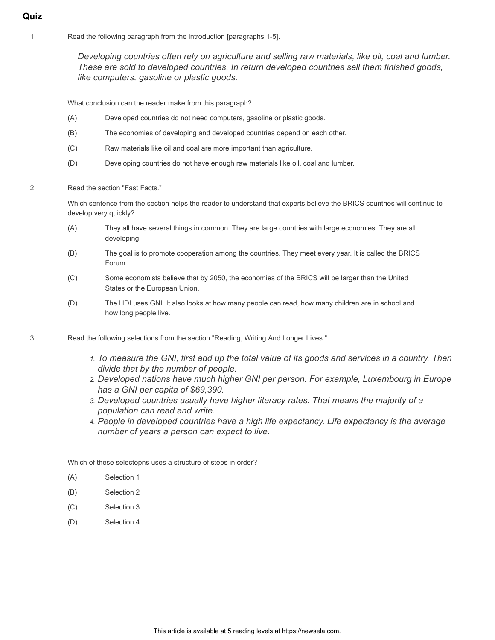- **Quiz**
	- 1 Read the following paragraph from the introduction [paragraphs 1-5].

*Developing countries often rely on agriculture and selling raw materials, like oil, coal and lumber. These are sold to developed countries. In return developed countries sell them finished goods, like computers, gasoline or plastic goods.*

What conclusion can the reader make from this paragraph?

- (A) Developed countries do not need computers, gasoline or plastic goods.
- (B) The economies of developing and developed countries depend on each other.
- (C) Raw materials like oil and coal are more important than agriculture.
- (D) Developing countries do not have enough raw materials like oil, coal and lumber.

#### 2 Read the section "Fast Facts."

Which sentence from the section helps the reader to understand that experts believe the BRICS countries will continue to develop very quickly?

- (A) They all have several things in common. They are large countries with large economies. They are all developing.
- (B) The goal is to promote cooperation among the countries. They meet every year. It is called the BRICS Forum.
- (C) Some economists believe that by 2050, the economies of the BRICS will be larger than the United States or the European Union.
- (D) The HDI uses GNI. It also looks at how many people can read, how many children are in school and how long people live.

3 Read the following selections from the section "Reading, Writing And Longer Lives."

- *1. To measure the GNI, first add up the total value of its goods and services in a country. Then divide that by the number of people.*
- *2. Developed nations have much higher GNI per person. For example, Luxembourg in Europe has a GNI per capita of \$69,390.*
- *3. Developed countries usually have higher literacy rates. That means the majority of a population can read and write.*
- *4. People in developed countries have a high life expectancy. Life expectancy is the average number of years a person can expect to live.*

Which of these selectopns uses a structure of steps in order?

- (A) Selection 1
- (B) Selection 2
- (C) Selection 3
- (D) Selection 4